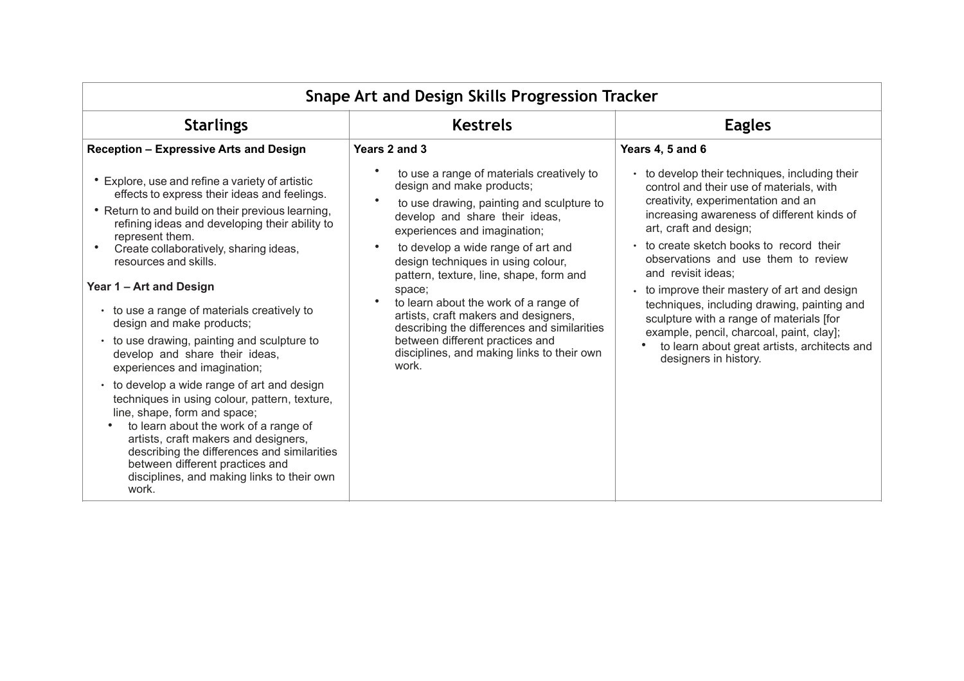| Snape Art and Design Skills Progression Tracker                                                                                                                                                                                                                                                                                                                                                                                                                                                                                                                                                                                                                                                                                                                                                                                                                                |                                                                                                                                                                                                                                                                                                                                                                                                                                                                                                                                                                            |                                                                                                                                                                                                                                                                                                                                                                                                                                                                                                                                                                                          |
|--------------------------------------------------------------------------------------------------------------------------------------------------------------------------------------------------------------------------------------------------------------------------------------------------------------------------------------------------------------------------------------------------------------------------------------------------------------------------------------------------------------------------------------------------------------------------------------------------------------------------------------------------------------------------------------------------------------------------------------------------------------------------------------------------------------------------------------------------------------------------------|----------------------------------------------------------------------------------------------------------------------------------------------------------------------------------------------------------------------------------------------------------------------------------------------------------------------------------------------------------------------------------------------------------------------------------------------------------------------------------------------------------------------------------------------------------------------------|------------------------------------------------------------------------------------------------------------------------------------------------------------------------------------------------------------------------------------------------------------------------------------------------------------------------------------------------------------------------------------------------------------------------------------------------------------------------------------------------------------------------------------------------------------------------------------------|
| <b>Starlings</b>                                                                                                                                                                                                                                                                                                                                                                                                                                                                                                                                                                                                                                                                                                                                                                                                                                                               | <b>Kestrels</b>                                                                                                                                                                                                                                                                                                                                                                                                                                                                                                                                                            | <b>Eagles</b>                                                                                                                                                                                                                                                                                                                                                                                                                                                                                                                                                                            |
| <b>Reception - Expressive Arts and Design</b>                                                                                                                                                                                                                                                                                                                                                                                                                                                                                                                                                                                                                                                                                                                                                                                                                                  | Years 2 and 3                                                                                                                                                                                                                                                                                                                                                                                                                                                                                                                                                              | Years 4, 5 and 6                                                                                                                                                                                                                                                                                                                                                                                                                                                                                                                                                                         |
| • Explore, use and refine a variety of artistic<br>effects to express their ideas and feelings.<br>• Return to and build on their previous learning,<br>refining ideas and developing their ability to<br>represent them.<br>Create collaboratively, sharing ideas,<br>resources and skills.<br>Year 1 - Art and Design<br>• to use a range of materials creatively to<br>design and make products;<br>• to use drawing, painting and sculpture to<br>develop and share their ideas,<br>experiences and imagination;<br>• to develop a wide range of art and design<br>techniques in using colour, pattern, texture,<br>line, shape, form and space;<br>to learn about the work of a range of<br>artists, craft makers and designers,<br>describing the differences and similarities<br>between different practices and<br>disciplines, and making links to their own<br>work. | to use a range of materials creatively to<br>design and make products;<br>$\bullet$<br>to use drawing, painting and sculpture to<br>develop and share their ideas,<br>experiences and imagination;<br>to develop a wide range of art and<br>$\bullet$<br>design techniques in using colour,<br>pattern, texture, line, shape, form and<br>space;<br>to learn about the work of a range of<br>artists, craft makers and designers,<br>describing the differences and similarities<br>between different practices and<br>disciplines, and making links to their own<br>work. | to develop their techniques, including their<br>$\bullet$<br>control and their use of materials, with<br>creativity, experimentation and an<br>increasing awareness of different kinds of<br>art, craft and design;<br>to create sketch books to record their<br>observations and use them to review<br>and revisit ideas;<br>to improve their mastery of art and design<br>techniques, including drawing, painting and<br>sculpture with a range of materials [for<br>example, pencil, charcoal, paint, clay];<br>to learn about great artists, architects and<br>designers in history. |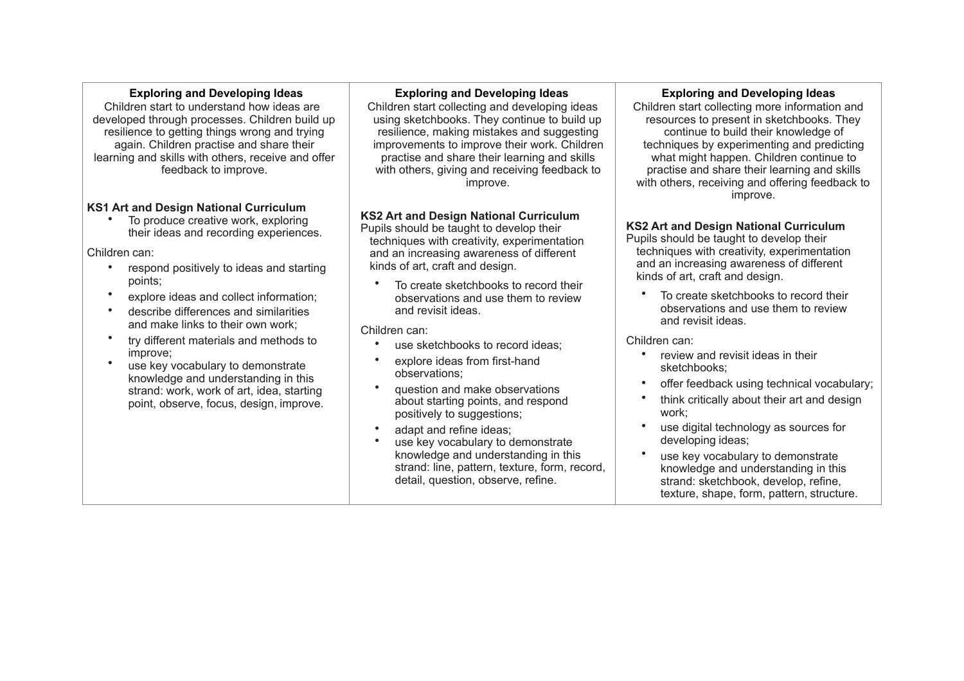### **Exploring and Developing Ideas**

Children start to understand how ideas are developed through processes. Children build up resilience to getting things wrong and trying again. Children practise and share their learning and skills with others, receive and offer feedback to improve.

## **KS1 Art and Design National Curriculum**

To produce creative work, exploring their ideas and recording experiences.

Children can:

- respond positively to ideas and starting points;
- explore ideas and collect information;
- describe differences and similarities and make links to their own work;
- try different materials and methods to improve;
- use key vocabulary to demonstrate knowledge and understanding in this strand: work, work of art, idea, starting point, observe, focus, design, improve.

## **Exploring and Developing Ideas**

Children start collecting and developing ideas using sketchbooks. They continue to build up resilience, making mistakes and suggesting improvements to improve their work. Children practise and share their learning and skills with others, giving and receiving feedback to improve.

# **KS2 Art and Design National Curriculum**

Pupils should be taught to develop their techniques with creativity, experimentation and an increasing awareness of different kinds of art, craft and design.

To create sketchbooks to record their observations and use them to review and revisit ideas.

Children can:

- use sketchbooks to record ideas;
- explore ideas from first-hand observations;
- question and make observations about starting points, and respond positively to suggestions;
- adapt and refine ideas:
- use key vocabulary to demonstrate knowledge and understanding in this strand: line, pattern, texture, form, record, detail, question, observe, refine.

### **Exploring and Developing Ideas**

Children start collecting more information and resources to present in sketchbooks. They continue to build their knowledge of techniques by experimenting and predicting what might happen. Children continue to practise and share their learning and skills with others, receiving and offering feedback to improve.

## **KS2 Art and Design National Curriculum**

- Pupils should be taught to develop their techniques with creativity, experimentation and an increasing awareness of different kinds of art, craft and design.
	- To create sketchbooks to record their observations and use them to review and revisit ideas.

- review and revisit ideas in their sketchbooks;
- offer feedback using technical vocabulary;
- think critically about their art and design work;
- use digital technology as sources for developing ideas;
- use key vocabulary to demonstrate knowledge and understanding in this strand: sketchbook, develop, refine, texture, shape, form, pattern, structure.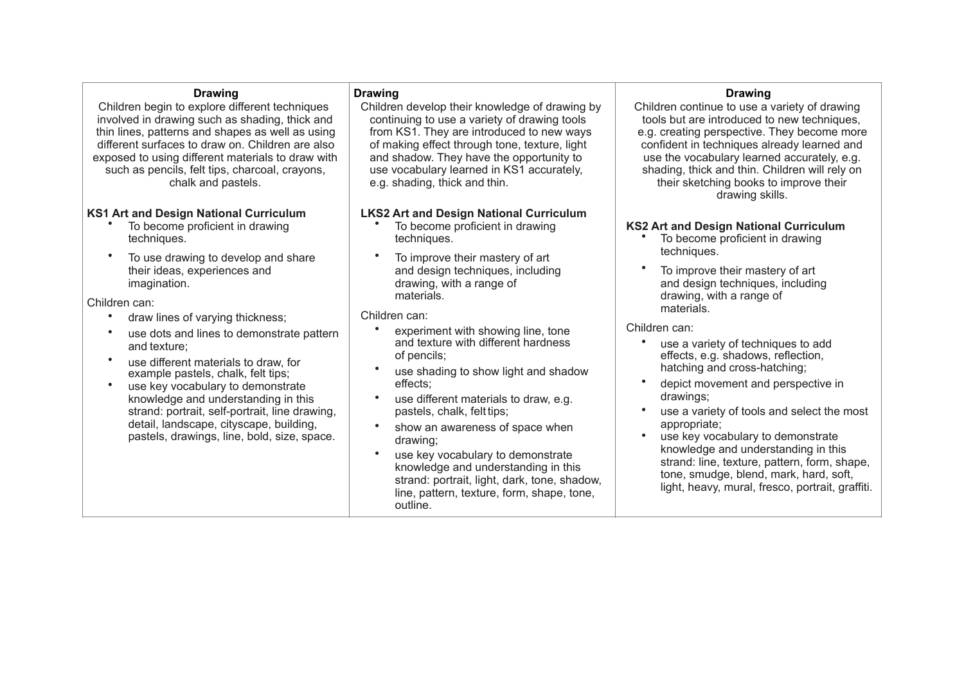#### **Drawing**

Children begin to explore different techniques involved in drawing such as shading, thick and thin lines, patterns and shapes as well as using different surfaces to draw on. Children are also exposed to using different materials to draw with such as pencils, felt tips, charcoal, crayons, chalk and pastels.

#### **KS1 Art and Design National Curriculum**

- To become proficient in drawing techniques.
- To use drawing to develop and share their ideas, experiences and imagination.

Children can:

- draw lines of varying thickness;
- use dots and lines to demonstrate pattern and texture;
- use different materials to draw, for example pastels, chalk, felt tips;
- use key vocabulary to demonstrate knowledge and understanding in this strand: portrait, self-portrait, line drawing, detail, landscape, cityscape, building, pastels, drawings, line, bold, size, space.

### **Drawing**

Children develop their knowledge of drawing by continuing to use a variety of drawing tools from KS1. They are introduced to new ways of making effect through tone, texture, light and shadow. They have the opportunity to use vocabulary learned in KS1 accurately, e.g. shading, thick and thin.

### **LKS2 Art and Design National Curriculum**

- To become proficient in drawing techniques.
- To improve their mastery of art and design techniques, including drawing, with a range of materials.

Children can:

- experiment with showing line, tone and texture with different hardness of pencils;
- use shading to show light and shadow effects;
- use different materials to draw, e.g. pastels, chalk, felt tips;
- show an awareness of space when drawing;
- use key vocabulary to demonstrate knowledge and understanding in this strand: portrait, light, dark, tone, shadow, line, pattern, texture, form, shape, tone, outline.

# **Drawing**

Children continue to use a variety of drawing tools but are introduced to new techniques, e.g. creating perspective. They become more confident in techniques already learned and use the vocabulary learned accurately, e.g. shading, thick and thin. Children will rely on their sketching books to improve their drawing skills.

### **KS2 Art and Design National Curriculum**

- To become proficient in drawing techniques.
- To improve their mastery of art and design techniques, including drawing, with a range of materials.

- use a variety of techniques to add effects, e.g. shadows, reflection, hatching and cross-hatching;
- depict movement and perspective in drawings;
- use a variety of tools and select the most appropriate;
- use key vocabulary to demonstrate knowledge and understanding in this strand: line, texture, pattern, form, shape, tone, smudge, blend, mark, hard, soft, light, heavy, mural, fresco, portrait, graffiti.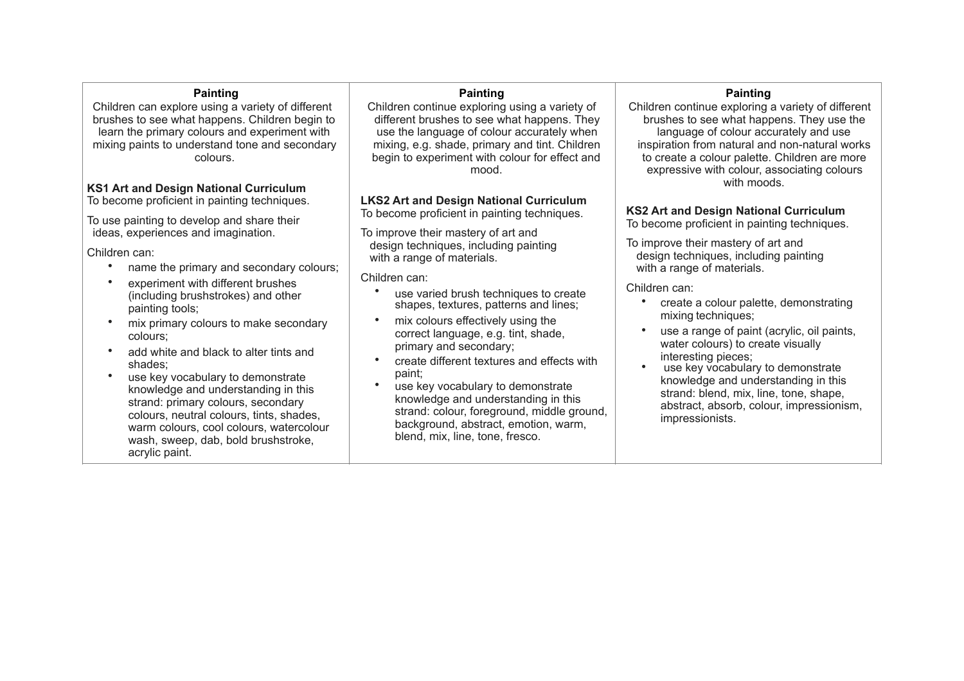### **Painting**

Children can explore using a variety of different brushes to see what happens. Children begin to learn the primary colours and experiment with mixing paints to understand tone and secondary colours.

## **KS1 Art and Design National Curriculum**

To become proficient in painting techniques.

To use painting to develop and share their ideas, experiences and imagination.

Children can:

- name the primary and secondary colours;
- experiment with different brushes (including brushstrokes) and other painting tools;
- mix primary colours to make secondary colours;
- add white and black to alter tints and shades;
- use key vocabulary to demonstrate knowledge and understanding in this strand: primary colours, secondary colours, neutral colours, tints, shades, warm colours, cool colours, watercolour wash, sweep, dab, bold brushstroke, acrylic paint.

## **Painting**

Children continue exploring using a variety of different brushes to see what happens. They use the language of colour accurately when mixing, e.g. shade, primary and tint. Children begin to experiment with colour for effect and mood.

# **LKS2 Art and Design National Curriculum**

To become proficient in painting techniques.

To improve their mastery of art and design techniques, including painting with a range of materials.

Children can:

- use varied brush techniques to create shapes, textures, patterns and lines;
- mix colours effectively using the correct language, e.g. tint, shade, primary and secondary;
- create different textures and effects with paint;
- use key vocabulary to demonstrate knowledge and understanding in this strand: colour, foreground, middle ground, background, abstract, emotion, warm, blend, mix, line, tone, fresco.

## **Painting**

Children continue exploring a variety of different brushes to see what happens. They use the language of colour accurately and use inspiration from natural and non-natural works to create a colour palette. Children are more expressive with colour, associating colours with moods.

**KS2 Art and Design National Curriculum** To become proficient in painting techniques.

To improve their mastery of art and design techniques, including painting with a range of materials.

- create a colour palette, demonstrating mixing techniques;
- use a range of paint (acrylic, oil paints, water colours) to create visually interesting pieces:
- use key vocabulary to demonstrate knowledge and understanding in this strand: blend, mix, line, tone, shape, abstract, absorb, colour, impressionism, impressionists.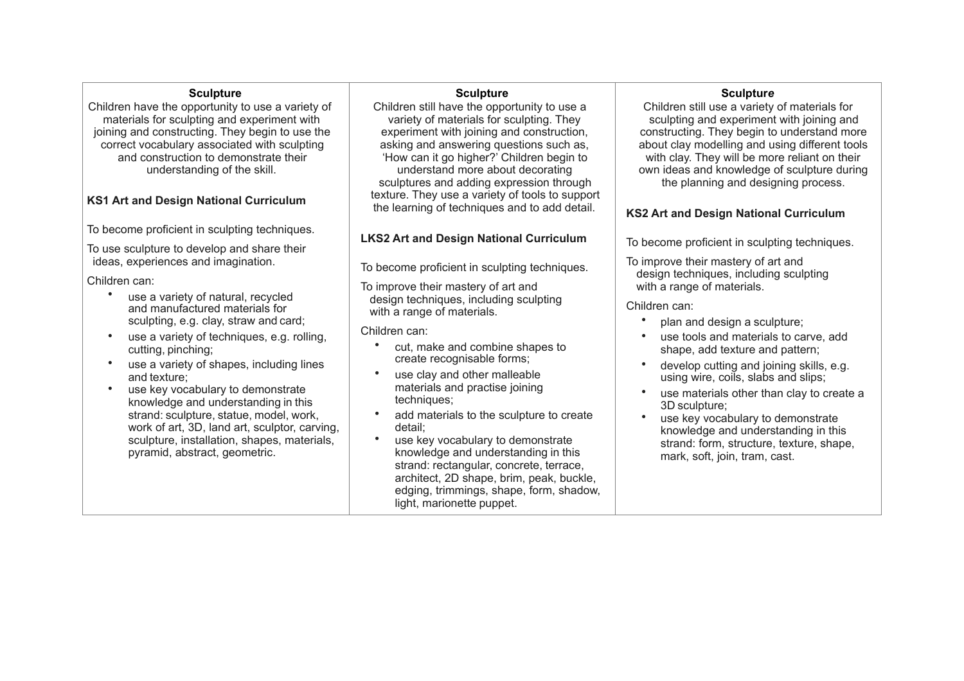#### **Sculpture**

Children have the opportunity to use a variety of materials for sculpting and experiment with joining and constructing. They begin to use the correct vocabulary associated with sculpting and construction to demonstrate their understanding of the skill.

# **KS1 Art and Design National Curriculum**

To become proficient in sculpting techniques.

To use sculpture to develop and share their ideas, experiences and imagination.

Children can:

- use a variety of natural, recycled and manufactured materials for sculpting, e.g. clay, straw and card;
- use a variety of techniques, e.g. rolling. cutting, pinching;
- use a variety of shapes, including lines and texture;
- use key vocabulary to demonstrate knowledge and understanding in this strand: sculpture, statue, model, work, work of art, 3D, land art, sculptor, carving, sculpture, installation, shapes, materials, pyramid, abstract, geometric.

#### **Sculpture**

Children still have the opportunity to use a variety of materials for sculpting. They experiment with joining and construction, asking and answering questions such as, 'How can it go higher?' Children begin to understand more about decorating sculptures and adding expression through texture. They use a variety of tools to support the learning of techniques and to add detail.

# **LKS2 Art and Design National Curriculum**

To become proficient in sculpting techniques.

To improve their mastery of art and design techniques, including sculpting with a range of materials.

Children can:

- cut, make and combine shapes to create recognisable forms;
- use clay and other malleable materials and practise joining techniques:
- add materials to the sculpture to create detail;
- use key vocabulary to demonstrate knowledge and understanding in this strand: rectangular, concrete, terrace, architect, 2D shape, brim, peak, buckle, edging, trimmings, shape, form, shadow, light, marionette puppet.

## **Sculptur***e*

Children still use a variety of materials for sculpting and experiment with joining and constructing. They begin to understand more about clay modelling and using different tools with clay. They will be more reliant on their own ideas and knowledge of sculpture during the planning and designing process.

# **KS2 Art and Design National Curriculum**

To become proficient in sculpting techniques.

To improve their mastery of art and design techniques, including sculpting with a range of materials.

- plan and design a sculpture;
- use tools and materials to carve, add shape, add texture and pattern;
- develop cutting and joining skills, e.g. using wire, coils, slabs and slips;
- use materials other than clay to create a 3D sculpture;
- use key vocabulary to demonstrate knowledge and understanding in this strand: form, structure, texture, shape, mark, soft, join, tram, cast.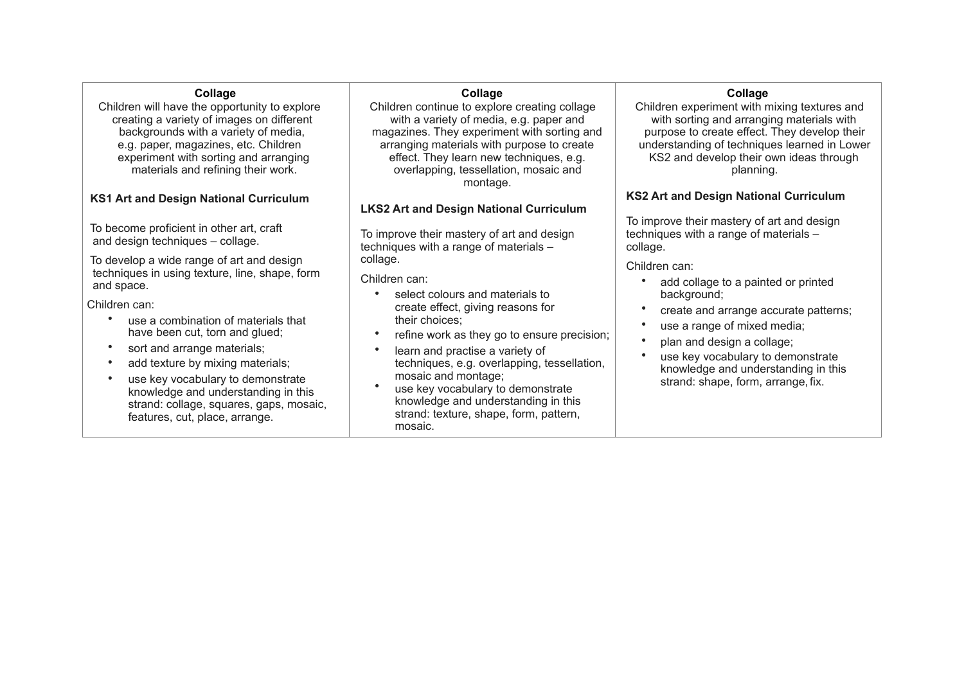# **Collage**

Children will have the opportunity to explore creating a variety of images on different backgrounds with a variety of media, e.g. paper, magazines, etc. Children experiment with sorting and arranging materials and refining their work.

# **KS1 Art and Design National Curriculum**

 To become proficient in other art, craft and design techniques – collage.

 To develop a wide range of art and design techniques in using texture, line, shape, form and space.

Children can:

- use a combination of materials that have been cut, torn and glued;
- sort and arrange materials;
- add texture by mixing materials;
- use key vocabulary to demonstrate knowledge and understanding in this strand: collage, squares, gaps, mosaic, features, cut, place, arrange.

# **Collage**

Children continue to explore creating collage with a variety of media, e.g. paper and magazines. They experiment with sorting and arranging materials with purpose to create effect. They learn new techniques, e.g. overlapping, tessellation, mosaic and montage.

## **LKS2 Art and Design National Curriculum**

To improve their mastery of art and design techniques with a range of materials – collage.

Children can:

- select colours and materials to create effect, giving reasons for their choices;
- refine work as they go to ensure precision;
- learn and practise a variety of techniques, e.g. overlapping, tessellation, mosaic and montage;
- use key vocabulary to demonstrate knowledge and understanding in this strand: texture, shape, form, pattern, mosaic.

# **Collage**

Children experiment with mixing textures and with sorting and arranging materials with purpose to create effect. They develop their understanding of techniques learned in Lower KS2 and develop their own ideas through planning.

## **KS2 Art and Design National Curriculum**

To improve their mastery of art and design techniques with a range of materials – collage.

- add collage to a painted or printed background;
- create and arrange accurate patterns;
- use a range of mixed media;
- plan and design a collage;
- use key vocabulary to demonstrate knowledge and understanding in this strand: shape, form, arrange, fix.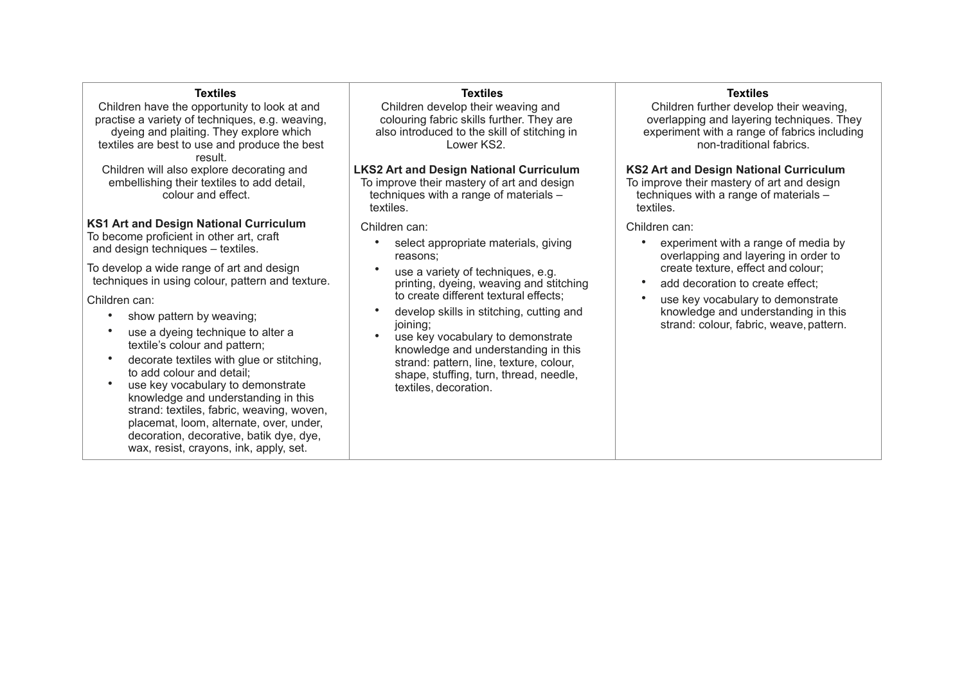### **Textiles**

Children have the opportunity to look at and practise a variety of techniques, e.g. weaving, dyeing and plaiting. They explore which textiles are best to use and produce the best result. Children will also explore decorating and embellishing their textiles to add detail, colour and effect.

**KS1 Art and Design National Curriculum** To become proficient in other art, craft and design techniques – textiles.

To develop a wide range of art and design techniques in using colour, pattern and texture.

Children can:

- show pattern by weaving;
- use a dyeing technique to alter a textile's colour and pattern;
- decorate textiles with glue or stitching, to add colour and detail;
- use key vocabulary to demonstrate knowledge and understanding in this strand: textiles, fabric, weaving, woven, placemat, loom, alternate, over, under, decoration, decorative, batik dye, dye, wax, resist, crayons, ink, apply, set.

#### **Textiles**

Children develop their weaving and colouring fabric skills further. They are also introduced to the skill of stitching in Lower KS2.

# **LKS2 Art and Design National Curriculum**

To improve their mastery of art and design techniques with a range of materials – textiles.

Children can:

- select appropriate materials, giving reasons;
- use a variety of techniques, e.g. printing, dyeing, weaving and stitching to create different textural effects;
- develop skills in stitching, cutting and joining:
- use key vocabulary to demonstrate knowledge and understanding in this strand: pattern, line, texture, colour, shape, stuffing, turn, thread, needle, textiles, decoration.

### **Textiles**

Children further develop their weaving, overlapping and layering techniques. They experiment with a range of fabrics including non-traditional fabrics.

### **KS2 Art and Design National Curriculum**

To improve their mastery of art and design techniques with a range of materials – textiles.

- experiment with a range of media by overlapping and layering in order to create texture, effect and colour;
- add decoration to create effect:
- use key vocabulary to demonstrate knowledge and understanding in this strand: colour, fabric, weave, pattern.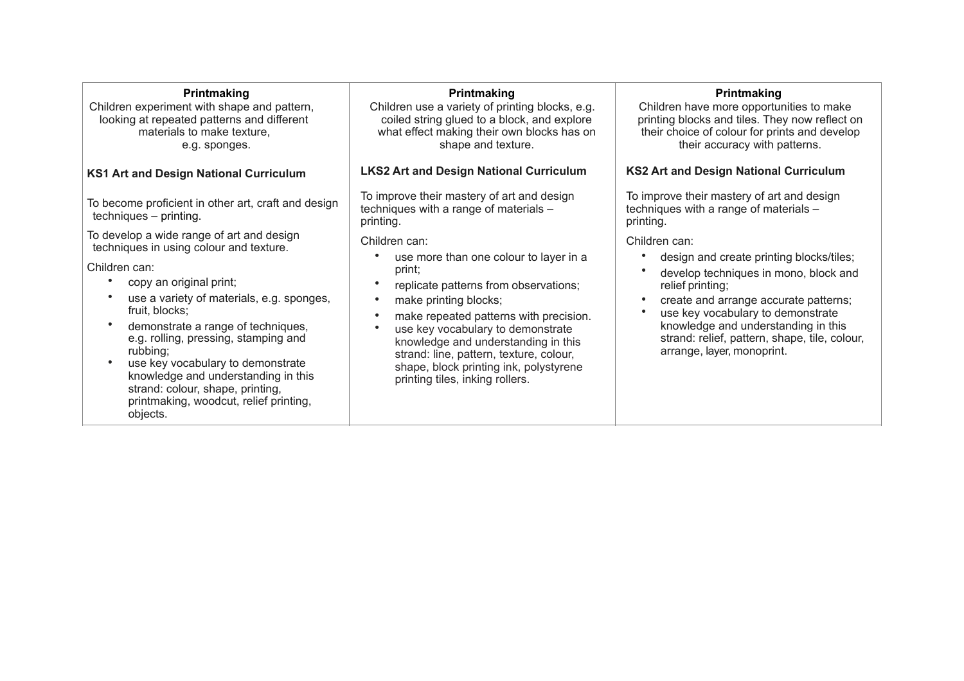### **Printmaking**

Children experiment with shape and pattern, looking at repeated patterns and different materials to make texture, e.g. sponges.

# **KS1 Art and Design National Curriculum**

To become proficient in other art, craft and design techniques – printing.

To develop a wide range of art and design techniques in using colour and texture.

Children can:

- copy an original print;
- use a variety of materials, e.g. sponges, fruit, blocks;
- demonstrate a range of techniques, e.g. rolling, pressing, stamping and rubbing;
- use key vocabulary to demonstrate knowledge and understanding in this strand: colour, shape, printing, printmaking, woodcut, relief printing, objects.

### **Printmaking**

Children use a variety of printing blocks, e.g. coiled string glued to a block, and explore what effect making their own blocks has on shape and texture.

## **LKS2 Art and Design National Curriculum**

To improve their mastery of art and design techniques with a range of materials – printing.

Children can:

- use more than one colour to layer in a print;
- replicate patterns from observations;
- make printing blocks:
- make repeated patterns with precision.
- use key vocabulary to demonstrate knowledge and understanding in this strand: line, pattern, texture, colour, shape, block printing ink, polystyrene printing tiles, inking rollers.

## **Printmaking**

Children have more opportunities to make printing blocks and tiles. They now reflect on their choice of colour for prints and develop their accuracy with patterns.

## **KS2 Art and Design National Curriculum**

To improve their mastery of art and design techniques with a range of materials – printing.

- design and create printing blocks/tiles;
- develop techniques in mono, block and relief printing;
- create and arrange accurate patterns;
- use key vocabulary to demonstrate knowledge and understanding in this strand: relief, pattern, shape, tile, colour, arrange, layer, monoprint.